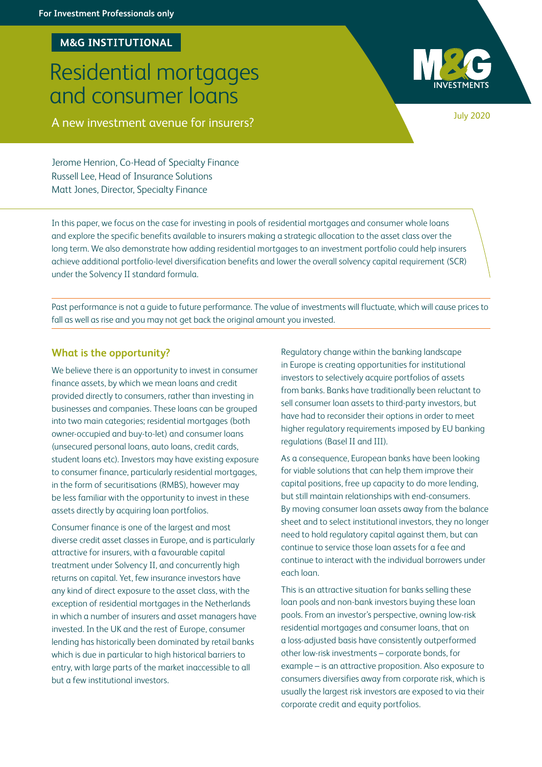## **M&G INSTITUTIONAL**

# Residential mortgages and consumer loans

A new investment avenue for insurers? A new investment avenue for insurers?

Jerome Henrion, Co-Head of Specialty Finance Russell Lee, Head of Insurance Solutions Matt Jones, Director, Specialty Finance

In this paper, we focus on the case for investing in pools of residential mortgages and consumer whole loans and explore the specific benefits available to insurers making a strategic allocation to the asset class over the long term. We also demonstrate how adding residential mortgages to an investment portfolio could help insurers achieve additional portfolio-level diversification benefits and lower the overall solvency capital requirement (SCR) under the Solvency II standard formula.

Past performance is not a guide to future performance. The value of investments will fluctuate, which will cause prices to fall as well as rise and you may not get back the original amount you invested.

## **What is the opportunity?**

We believe there is an opportunity to invest in consumer finance assets, by which we mean loans and credit provided directly to consumers, rather than investing in businesses and companies. These loans can be grouped into two main categories; residential mortgages (both owner-occupied and buy-to-let) and consumer loans (unsecured personal loans, auto loans, credit cards, student loans etc). Investors may have existing exposure to consumer finance, particularly residential mortgages, in the form of securitisations (RMBS), however may be less familiar with the opportunity to invest in these assets directly by acquiring loan portfolios.

Consumer finance is one of the largest and most diverse credit asset classes in Europe, and is particularly attractive for insurers, with a favourable capital treatment under Solvency II, and concurrently high returns on capital. Yet, few insurance investors have any kind of direct exposure to the asset class, with the exception of residential mortgages in the Netherlands in which a number of insurers and asset managers have invested. In the UK and the rest of Europe, consumer lending has historically been dominated by retail banks which is due in particular to high historical barriers to entry, with large parts of the market inaccessible to all but a few institutional investors.

Regulatory change within the banking landscape in Europe is creating opportunities for institutional investors to selectively acquire portfolios of assets from banks. Banks have traditionally been reluctant to sell consumer loan assets to third-party investors, but have had to reconsider their options in order to meet higher regulatory requirements imposed by EU banking regulations (Basel II and III).

As a consequence, European banks have been looking for viable solutions that can help them improve their capital positions, free up capacity to do more lending, but still maintain relationships with end-consumers. By moving consumer loan assets away from the balance sheet and to select institutional investors, they no longer need to hold regulatory capital against them, but can continue to service those loan assets for a fee and continue to interact with the individual borrowers under each loan.

This is an attractive situation for banks selling these loan pools and non-bank investors buying these loan pools. From an investor's perspective, owning low-risk residential mortgages and consumer loans, that on a loss-adjusted basis have consistently outperformed other low-risk investments – corporate bonds, for example – is an attractive proposition. Also exposure to consumers diversifies away from corporate risk, which is usually the largest risk investors are exposed to via their corporate credit and equity portfolios.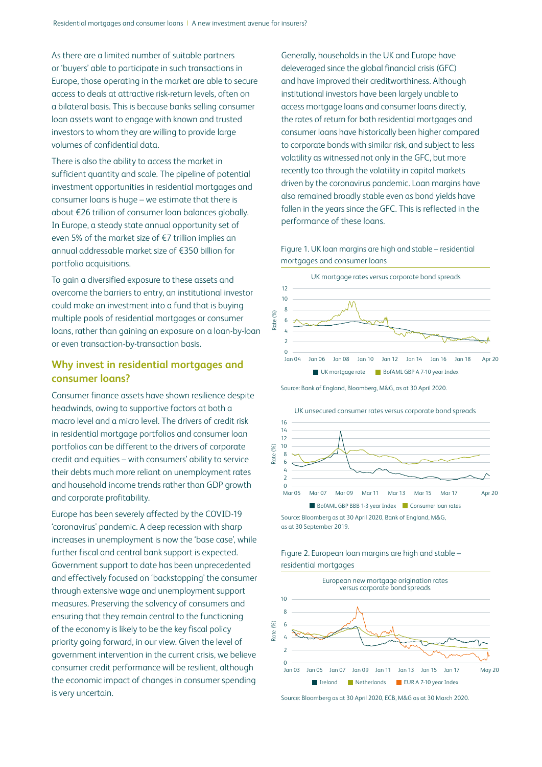As there are a limited number of suitable partners or 'buyers' able to participate in such transactions in Europe, those operating in the market are able to secure access to deals at attractive risk-return levels, often on a bilateral basis. This is because banks selling consumer loan assets want to engage with known and trusted investors to whom they are willing to provide large volumes of confidential data.

There is also the ability to access the market in sufficient quantity and scale. The pipeline of potential investment opportunities in residential mortgages and consumer loans is huge – we estimate that there is about €26 trillion of consumer loan balances globally. In Europe, a steady state annual opportunity set of even 5% of the market size of €7 trillion implies an annual addressable market size of €350 billion for portfolio acquisitions.

To gain a diversified exposure to these assets and overcome the barriers to entry, an institutional investor could make an investment into a fund that is buying multiple pools of residential mortgages or consumer loans, rather than gaining an exposure on a loan-by-loan or even transaction-by-transaction basis.

# **Why invest in residential mortgages and consumer loans?**

Consumer finance assets have shown resilience despite headwinds, owing to supportive factors at both a macro level and a micro level. The drivers of credit risk in residential mortgage portfolios and consumer loan portfolios can be different to the drivers of corporate credit and equities – with consumers' ability to service their debts much more reliant on unemployment rates and household income trends rather than GDP growth and corporate profitability.

Europe has been severely affected by the COVID-19 'coronavirus' pandemic. A deep recession with sharp increases in unemployment is now the 'base case', while further fiscal and central bank support is expected. Government support to date has been unprecedented and effectively focused on 'backstopping' the consumer through extensive wage and unemployment support measures. Preserving the solvency of consumers and ensuring that they remain central to the functioning of the economy is likely to be the key fiscal policy priority going forward, in our view. Given the level of government intervention in the current crisis, we believe consumer credit performance will be resilient, although the economic impact of changes in consumer spending is very uncertain.

Generally, households in the UK and Europe have deleveraged since the global financial crisis (GFC) and have improved their creditworthiness. Although institutional investors have been largely unable to access mortgage loans and consumer loans directly, the rates of return for both residential mortgages and consumer loans have historically been higher compared to corporate bonds with similar risk, and subject to less volatility as witnessed not only in the GFC, but more recently too through the volatility in capital markets driven by the coronavirus pandemic. Loan margins have also remained broadly stable even as bond yields have fallen in the years since the GFC. This is reflected in the performance of these loans.

Figure 1. UK loan margins are high and stable – residential mortgages and consumer loans



Source: Bank of England, Bloomberg, M&G, as at 30 April 2020.



as at 30 September 2019.



Figure 2. European loan margins are high and stable – residential mortgages

Source: Bloomberg as at 30 April 2020, ECB, M&G as at 30 March 2020.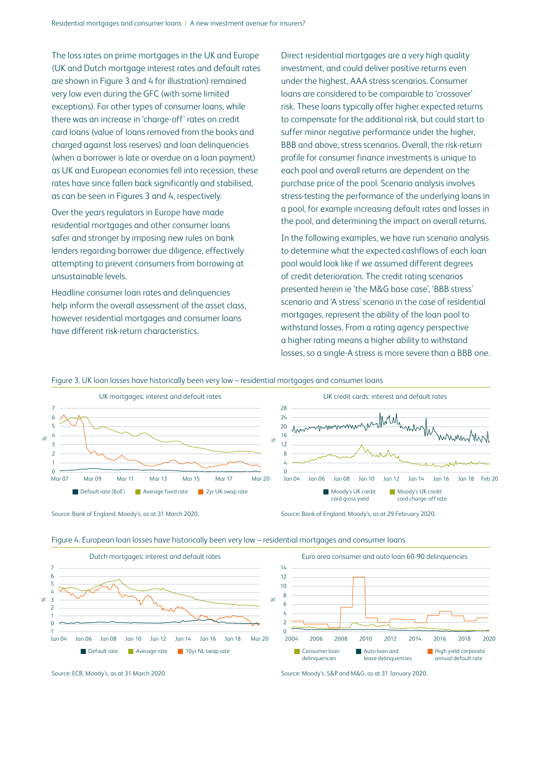The loss rates on prime mortgages in the UK and Europe (UK and Dutch mortgage interest rates and default rates are shown in Figure 3 and 4 for illustration) remained very low even during the GFC (with some limited exceptions). For other types of consumer loans, while there was an increase in 'charge-off' rates on credit card loans (value of loans removed from the books and charged against loss reserves) and loan delinquencies (when a borrower is late or overdue on a loan payment) as UK and European economies fell into recession, these rates have since fallen back significantly and stabilised, as can be seen in Figures 3 and 4, respectively.

Over the years regulators in Europe have made residential mortgages and other consumer loans safer and stronger by imposing new rules on bank lenders regarding borrower due diligence, effectively attempting to prevent consumers from borrowing at unsustainable levels.

Headline consumer loan rates and delinquencies help inform the overall assessment of the asset class, however residential mortgages and consumer loans have different risk-return characteristics.

Direct residential mortgages are a very high quality investment, and could deliver positive returns even under the highest, AAA stress scenarios. Consumer loans are considered to be comparable to 'crossover' risk. These loans typically offer higher expected returns to compensate for the additional risk, but could start to suffer minor negative performance under the higher, BBB and above, stress scenarios. Overall, the risk-return profile for consumer finance investments is unique to each pool and overall returns are dependent on the purchase price of the pool. Scenario analysis involves stress-testing the performance of the underlying loans in a pool, for example increasing default rates and losses in the pool, and determining the impact on overall returns.

In the following examples, we have run scenario analysis to determine what the expected cashflows of each loan pool would look like if we assumed different degrees of credit deterioration. The credit rating scenarios presented herein ie 'the M&G base case', 'BBB stress' scenario and 'A stress' scenario in the case of residential mortgages, represent the ability of the loan pool to withstand losses. From a rating agency perspective a higher rating means a higher ability to withstand losses, so a single-A stress is more severe than a BBB one.

Figure 3. UK loan losses have historically been very low – residential mortgages and consumer loans



Source: Bank of England, Moody's, as at 31 March 2020. Source: Bank of England, Moody's, as at 29 February 2020.



Figure 4. European loan losses have historically been very low – residential mortgages and consumer loans

Source: ECB, Moody's, as at 31 March 2020. Source: Moody's, S&P and M&G, as at 31 January 2020.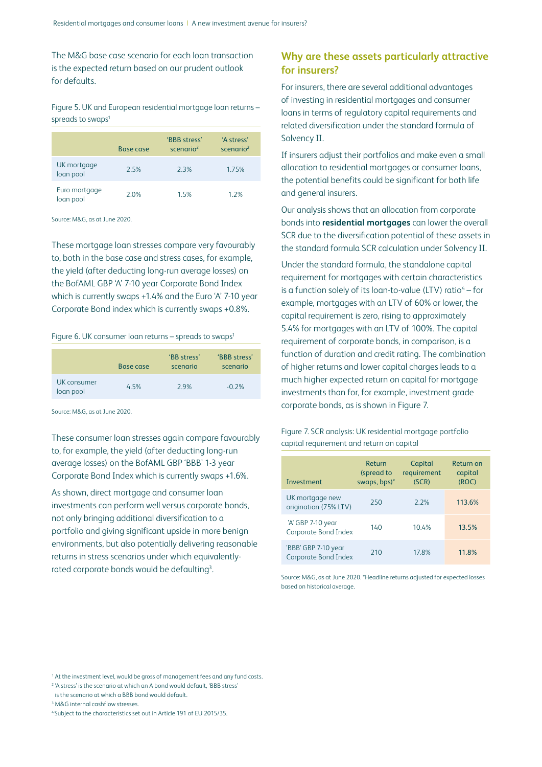The M&G base case scenario for each loan transaction is the expected return based on our prudent outlook for defaults.

## Figure 5. UK and European residential mortgage loan returns – spreads to swaps<sup>1</sup>

|                            | Base case | 'BBB stress'<br>scenario <sup>2</sup> | 'A stress'<br>scenario <sup>2</sup> |
|----------------------------|-----------|---------------------------------------|-------------------------------------|
| UK mortgage<br>loan pool   | 25%       | 2.3%                                  | 1.75%                               |
| Euro mortgage<br>loan pool | 2.0%      | 1.5%                                  | 12%                                 |

Source: M&G, as at June 2020.

These mortgage loan stresses compare very favourably to, both in the base case and stress cases, for example, the yield (after deducting long-run average losses) on the BofAML GBP 'A' 7-10 year Corporate Bond Index which is currently swaps +1.4% and the Euro 'A' 7-10 year Corporate Bond index which is currently swaps +0.8%.

#### Figure 6. UK consumer loan returns – spreads to swaps<sup>1</sup>

|                          | Base case | 'BB stress'<br>scenario | 'BBB stress'<br>scenario |
|--------------------------|-----------|-------------------------|--------------------------|
| UK consumer<br>loan pool | 4.5%      | 29%                     | $-0.2%$                  |

Source: M&G, as at June 2020.

These consumer loan stresses again compare favourably to, for example, the yield (after deducting long-run average losses) on the BofAML GBP 'BBB' 1-3 year Corporate Bond Index which is currently swaps +1.6%.

As shown, direct mortgage and consumer loan investments can perform well versus corporate bonds, not only bringing additional diversification to a portfolio and giving significant upside in more benign environments, but also potentially delivering reasonable returns in stress scenarios under which equivalentlyrated corporate bonds would be defaulting<sup>3</sup>. .

# **Why are these assets particularly attractive for insurers?**

For insurers, there are several additional advantages of investing in residential mortgages and consumer loans in terms of regulatory capital requirements and related diversification under the standard formula of Solvency II.

If insurers adjust their portfolios and make even a small allocation to residential mortgages or consumer loans, the potential benefits could be significant for both life and general insurers.

Our analysis shows that an allocation from corporate bonds into **residential mortgages** can lower the overall SCR due to the diversification potential of these assets in the standard formula SCR calculation under Solvency II.

Under the standard formula, the standalone capital requirement for mortgages with certain characteristics is a function solely of its loan-to-value (LTV) ratio $4 -$  for example, mortgages with an LTV of 60% or lower, the capital requirement is zero, rising to approximately 5.4% for mortgages with an LTV of 100%. The capital requirement of corporate bonds, in comparison, is a function of duration and credit rating. The combination of higher returns and lower capital charges leads to a much higher expected return on capital for mortgage investments than for, for example, investment grade corporate bonds, as is shown in Figure 7.

Figure 7. SCR analysis: UK residential mortgage portfolio capital requirement and return on capital

| Investment                                         | Return<br>(spread to<br>swaps, bps)* | Capital<br>requirement<br>(SCR) | Return on<br>capital<br>(ROC) |
|----------------------------------------------------|--------------------------------------|---------------------------------|-------------------------------|
| UK mortgage new<br>origination (75% LTV)           | 250                                  | 22%                             | 113.6%                        |
| 'A' GBP 7-10 year<br><b>Corporate Bond Index</b>   | 140                                  | 10.4%                           | 13.5%                         |
| 'BBB' GBP 7-10 year<br><b>Corporate Bond Index</b> | 210                                  | 17.8%                           | 11.8%                         |

Source: M&G, as at June 2020. \*Headline returns adjusted for expected losses based on historical average.

<sup>&</sup>lt;sup>1</sup> At the investment level, would be gross of management fees and any fund costs.

<sup>2</sup> 'A stress' is the scenario at which an A bond would default, 'BBB stress'

is the scenario at which a BBB bond would default.

<sup>3</sup> M&G internal cashflow stresses.

<sup>4</sup> Subject to the characteristics set out in Article 191 of EU 2015/35.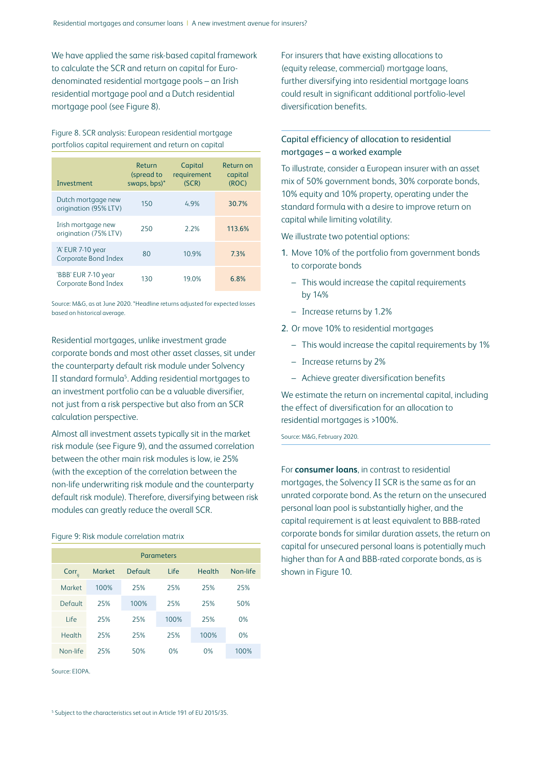We have applied the same risk-based capital framework to calculate the SCR and return on capital for Eurodenominated residential mortgage pools – an Irish residential mortgage pool and a Dutch residential mortgage pool (see Figure 8).

Figure 8. SCR analysis: European residential mortgage portfolios capital requirement and return on capital

| Investment                                  | Return<br>(spread to<br>swaps, bps)* | Capital<br>requirement<br>(SCR) | Return on<br>capital<br>(ROC) |
|---------------------------------------------|--------------------------------------|---------------------------------|-------------------------------|
| Dutch mortgage new<br>origination (95% LTV) | 150                                  | 4.9%                            | 30.7%                         |
| Irish mortgage new<br>origination (75% LTV) | 250                                  | 2.2%                            | 113.6%                        |
| 'A' EUR 7-10 year<br>Corporate Bond Index   | 80                                   | 10.9%                           | 7.3%                          |
| 'BBB' EUR 7-10 year<br>Corporate Bond Index | 130                                  | 19.0%                           | 6.8%                          |

Source: M&G, as at June 2020. \*Headline returns adjusted for expected losses based on historical average.

Residential mortgages, unlike investment grade corporate bonds and most other asset classes, sit under the counterparty default risk module under Solvency II standard formula<sup>5</sup>. Adding residential mortgages to an investment portfolio can be a valuable diversifier, not just from a risk perspective but also from an SCR calculation perspective.

Almost all investment assets typically sit in the market risk module (see Figure 9), and the assumed correlation between the other main risk modules is low, ie 25% (with the exception of the correlation between the non-life underwriting risk module and the counterparty default risk module). Therefore, diversifying between risk modules can greatly reduce the overall SCR.

#### Figure 9: Risk module correlation matrix

| <b>Parameters</b> |               |                |       |               |          |
|-------------------|---------------|----------------|-------|---------------|----------|
| $Corr_{ii}$       | <b>Market</b> | <b>Default</b> | l ife | <b>Health</b> | Non-life |
| Market            | 100%          | 25%            | 25%   | 25%           | 25%      |
| Default           | 25%           | 100%           | 25%   | 25%           | 50%      |
| Life              | 25%           | 25%            | 100%  | 25%           | 0%       |
| Health            | 25%           | 25%            | 25%   | 100%          | 0%       |
| Non-life          | 25%           | 50%            | 0%    | 0%            | 100%     |

Source: EIOPA.

For insurers that have existing allocations to (equity release, commercial) mortgage loans, further diversifying into residential mortgage loans could result in significant additional portfolio-level diversification benefits.

## Capital efficiency of allocation to residential mortgages – a worked example

To illustrate, consider a European insurer with an asset mix of 50% government bonds, 30% corporate bonds, 10% equity and 10% property, operating under the standard formula with a desire to improve return on capital while limiting volatility.

We illustrate two potential options:

- 1. Move 10% of the portfolio from government bonds to corporate bonds
	- This would increase the capital requirements by 14%
	- Increase returns by 1.2%
- 2. Or move 10% to residential mortgages
	- This would increase the capital requirements by 1%
	- Increase returns by 2%
	- Achieve greater diversification benefits

We estimate the return on incremental capital, including the effect of diversification for an allocation to residential mortgages is >100%.

Source: M&G, February 2020.

For **consumer loans**, in contrast to residential mortgages, the Solvency II SCR is the same as for an unrated corporate bond. As the return on the unsecured personal loan pool is substantially higher, and the capital requirement is at least equivalent to BBB-rated corporate bonds for similar duration assets, the return on capital for unsecured personal loans is potentially much higher than for A and BBB-rated corporate bonds, as is shown in Figure 10.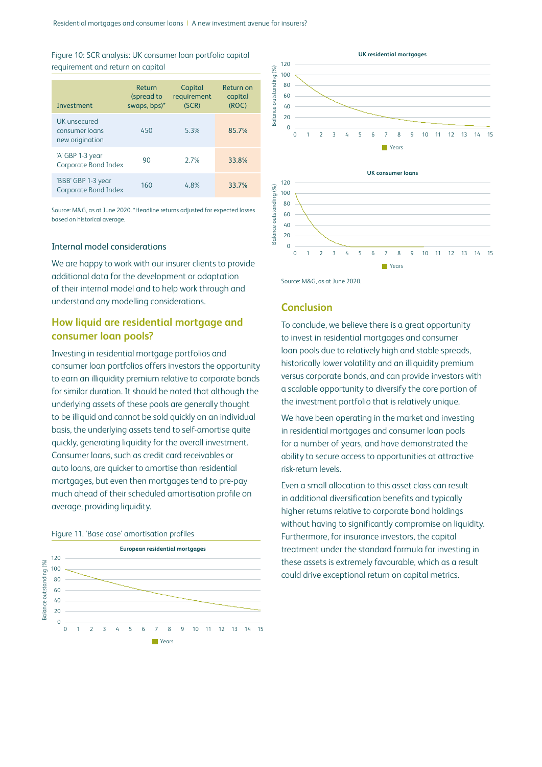| Figure 10: SCR analysis: UK consumer loan portfolio capital |  |  |
|-------------------------------------------------------------|--|--|
| requirement and return on capital                           |  |  |

| <b>Investment</b>                                 | Return<br>(spread to<br>swaps, bps)* | Capital<br>requirement<br>(SCR) | Return on<br>capital<br>(ROC) |
|---------------------------------------------------|--------------------------------------|---------------------------------|-------------------------------|
| UK unsecured<br>consumer loans<br>new origination | 450                                  | 5.3%                            | 85.7%                         |
| 'A' GBP 1-3 year<br>Corporate Bond Index          | 90                                   | 27%                             | 33.8%                         |
| 'BBB' GBP 1-3 year<br>Corporate Bond Index        | 160                                  | 4.8%                            | 33.7%                         |

Source: M&G, as at June 2020. \*Headline returns adjusted for expected losses based on historical average.

## Internal model considerations

We are happy to work with our insurer clients to provide additional data for the development or adaptation of their internal model and to help work through and understand any modelling considerations.

# **How liquid are residential mortgage and consumer loan pools?**

Investing in residential mortgage portfolios and consumer loan portfolios offers investors the opportunity to earn an illiquidity premium relative to corporate bonds for similar duration. It should be noted that although the underlying assets of these pools are generally thought to be illiquid and cannot be sold quickly on an individual basis, the underlying assets tend to self-amortise quite quickly, generating liquidity for the overall investment. Consumer loans, such as credit card receivables or auto loans, are quicker to amortise than residential mortgages, but even then mortgages tend to pre-pay much ahead of their scheduled amortisation profile on average, providing liquidity.









Source: M&G, as at June 2020.

### **Conclusion**

To conclude, we believe there is a great opportunity to invest in residential mortgages and consumer loan pools due to relatively high and stable spreads, historically lower volatility and an illiquidity premium versus corporate bonds, and can provide investors with a scalable opportunity to diversify the core portion of the investment portfolio that is relatively unique.

We have been operating in the market and investing in residential mortgages and consumer loan pools for a number of years, and have demonstrated the ability to secure access to opportunities at attractive risk-return levels.

Even a small allocation to this asset class can result in additional diversification benefits and typically higher returns relative to corporate bond holdings without having to significantly compromise on liquidity. Furthermore, for insurance investors, the capital treatment under the standard formula for investing in these assets is extremely favourable, which as a result could drive exceptional return on capital metrics.